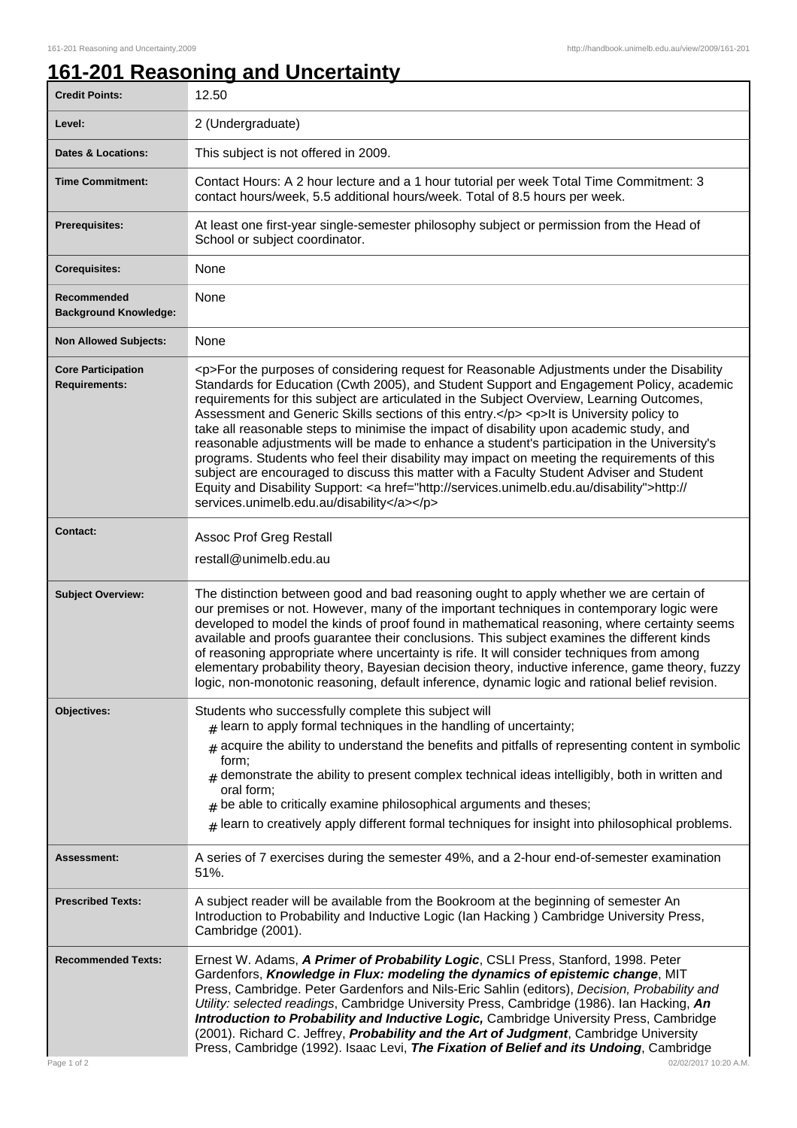## **161-201 Reasoning and Uncertainty**

| <b>Credit Points:</b>                             | 12.50                                                                                                                                                                                                                                                                                                                                                                                                                                                                                                                                                                                                                                                                                                                                                                                                                                                                                                                        |
|---------------------------------------------------|------------------------------------------------------------------------------------------------------------------------------------------------------------------------------------------------------------------------------------------------------------------------------------------------------------------------------------------------------------------------------------------------------------------------------------------------------------------------------------------------------------------------------------------------------------------------------------------------------------------------------------------------------------------------------------------------------------------------------------------------------------------------------------------------------------------------------------------------------------------------------------------------------------------------------|
| Level:                                            | 2 (Undergraduate)                                                                                                                                                                                                                                                                                                                                                                                                                                                                                                                                                                                                                                                                                                                                                                                                                                                                                                            |
| <b>Dates &amp; Locations:</b>                     | This subject is not offered in 2009.                                                                                                                                                                                                                                                                                                                                                                                                                                                                                                                                                                                                                                                                                                                                                                                                                                                                                         |
| <b>Time Commitment:</b>                           | Contact Hours: A 2 hour lecture and a 1 hour tutorial per week Total Time Commitment: 3<br>contact hours/week, 5.5 additional hours/week. Total of 8.5 hours per week.                                                                                                                                                                                                                                                                                                                                                                                                                                                                                                                                                                                                                                                                                                                                                       |
| <b>Prerequisites:</b>                             | At least one first-year single-semester philosophy subject or permission from the Head of<br>School or subject coordinator.                                                                                                                                                                                                                                                                                                                                                                                                                                                                                                                                                                                                                                                                                                                                                                                                  |
| <b>Corequisites:</b>                              | None                                                                                                                                                                                                                                                                                                                                                                                                                                                                                                                                                                                                                                                                                                                                                                                                                                                                                                                         |
| Recommended<br><b>Background Knowledge:</b>       | None                                                                                                                                                                                                                                                                                                                                                                                                                                                                                                                                                                                                                                                                                                                                                                                                                                                                                                                         |
| <b>Non Allowed Subjects:</b>                      | None                                                                                                                                                                                                                                                                                                                                                                                                                                                                                                                                                                                                                                                                                                                                                                                                                                                                                                                         |
| <b>Core Participation</b><br><b>Requirements:</b> | <p>For the purposes of considering request for Reasonable Adjustments under the Disability<br/>Standards for Education (Cwth 2005), and Student Support and Engagement Policy, academic<br/>requirements for this subject are articulated in the Subject Overview, Learning Outcomes,<br/>Assessment and Generic Skills sections of this entry.</p> <p>lt is University policy to<br/>take all reasonable steps to minimise the impact of disability upon academic study, and<br/>reasonable adjustments will be made to enhance a student's participation in the University's<br/>programs. Students who feel their disability may impact on meeting the requirements of this<br/>subject are encouraged to discuss this matter with a Faculty Student Adviser and Student<br/>Equity and Disability Support: &lt; a href="http://services.unimelb.edu.au/disability"&gt;http://<br/>services.unimelb.edu.au/disability</p> |
| <b>Contact:</b>                                   | Assoc Prof Greg Restall<br>restall@unimelb.edu.au                                                                                                                                                                                                                                                                                                                                                                                                                                                                                                                                                                                                                                                                                                                                                                                                                                                                            |
| <b>Subject Overview:</b>                          | The distinction between good and bad reasoning ought to apply whether we are certain of<br>our premises or not. However, many of the important techniques in contemporary logic were<br>developed to model the kinds of proof found in mathematical reasoning, where certainty seems<br>available and proofs guarantee their conclusions. This subject examines the different kinds<br>of reasoning appropriate where uncertainty is rife. It will consider techniques from among<br>elementary probability theory, Bayesian decision theory, inductive inference, game theory, fuzzy<br>logic, non-monotonic reasoning, default inference, dynamic logic and rational belief revision.                                                                                                                                                                                                                                      |
| Objectives:                                       | Students who successfully complete this subject will<br>$#$ learn to apply formal techniques in the handling of uncertainty;<br>acquire the ability to understand the benefits and pitfalls of representing content in symbolic<br>form;<br>$_{\text{H}}$ demonstrate the ability to present complex technical ideas intelligibly, both in written and<br>oral form:<br>$#$ be able to critically examine philosophical arguments and theses;<br>$*$ learn to creatively apply different formal techniques for insight into philosophical problems.                                                                                                                                                                                                                                                                                                                                                                          |
| <b>Assessment:</b>                                | A series of 7 exercises during the semester 49%, and a 2-hour end-of-semester examination<br>51%.                                                                                                                                                                                                                                                                                                                                                                                                                                                                                                                                                                                                                                                                                                                                                                                                                            |
| <b>Prescribed Texts:</b>                          | A subject reader will be available from the Bookroom at the beginning of semester An<br>Introduction to Probability and Inductive Logic (Ian Hacking) Cambridge University Press,<br>Cambridge (2001).                                                                                                                                                                                                                                                                                                                                                                                                                                                                                                                                                                                                                                                                                                                       |
| <b>Recommended Texts:</b><br>Page 1 of 2          | Ernest W. Adams, A Primer of Probability Logic, CSLI Press, Stanford, 1998. Peter<br>Gardenfors, Knowledge in Flux: modeling the dynamics of epistemic change, MIT<br>Press, Cambridge. Peter Gardenfors and Nils-Eric Sahlin (editors), Decision, Probability and<br>Utility: selected readings, Cambridge University Press, Cambridge (1986). Ian Hacking, An<br>Introduction to Probability and Inductive Logic, Cambridge University Press, Cambridge<br>(2001). Richard C. Jeffrey, Probability and the Art of Judgment, Cambridge University<br>Press, Cambridge (1992). Isaac Levi, The Fixation of Belief and its Undoing, Cambridge<br>02/02/2017 10:20 A.M.                                                                                                                                                                                                                                                        |